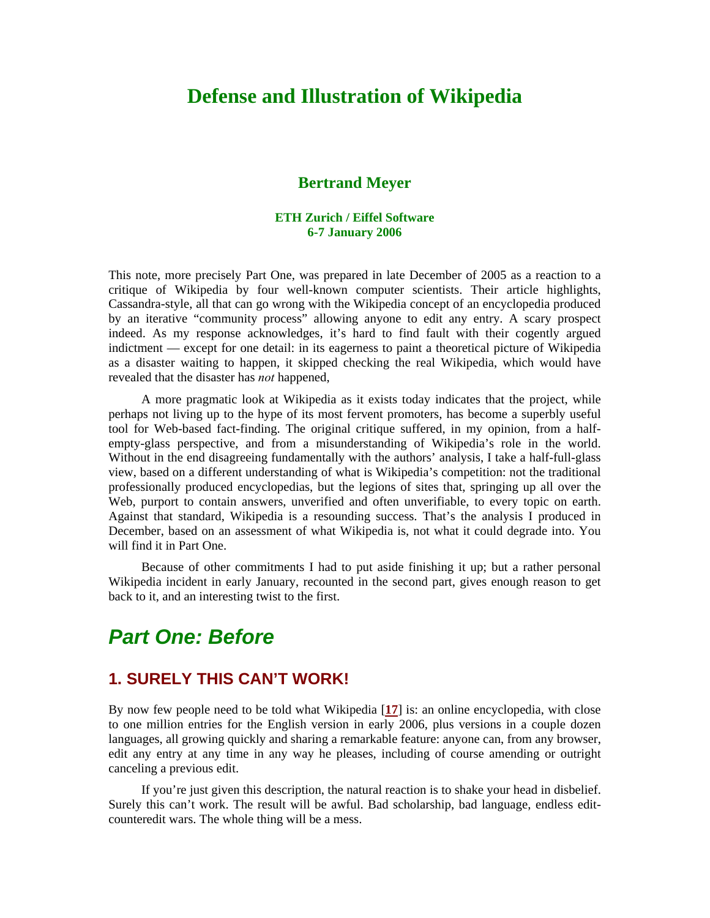# **Defense and Illustration of Wikipedia**

#### **Bertrand Meyer**

#### **ETH Zurich / Eiffel Software 6-7 January 2006**

This note, more precisely Part One, was prepared in late December of 2005 as a reaction to a critique of Wikipedia by four well-known computer scientists. Their article highlights, Cassandra-style, all that can go wrong with the Wikipedia concept of an encyclopedia produced by an iterative "community process" allowing anyone to edit any entry. A scary prospect indeed. As my response acknowledges, it's hard to find fault with their cogently argued indictment — except for one detail: in its eagerness to paint a theoretical picture of Wikipedia as a disaster waiting to happen, it skipped checking the real Wikipedia, which would have revealed that the disaster has *not* happened,

A more pragmatic look at Wikipedia as it exists today indicates that the project, while perhaps not living up to the hype of its most fervent promoters, has become a superbly useful tool for Web-based fact-finding. The original critique suffered, in my opinion, from a halfempty-glass perspective, and from a misunderstanding of Wikipedia's role in the world. Without in the end disagreeing fundamentally with the authors' analysis, I take a half-full-glass view, based on a different understanding of what is Wikipedia's competition: not the traditional professionally produced encyclopedias, but the legions of sites that, springing up all over the Web, purport to contain answers, unverified and often unverifiable, to every topic on earth. Against that standard, Wikipedia is a resounding success. That's the analysis I produced in December, based on an assessment of what Wikipedia is, not what it could degrade into. You will find it in Part One.

Because of other commitments I had to put aside finishing it up; but a rather personal Wikipedia incident in early January, recounted in the second part, gives enough reason to get back to it, and an interesting twist to the first.

# *Part One: Before*

### **1. SURELY THIS CAN'T WORK!**

By now few people need to be told what Wikipedia [**[17](#page-9-0)**] is: an online encyclopedia, with close to one million entries for the English version in early 2006, plus versions in a couple dozen languages, all growing quickly and sharing a remarkable feature: anyone can, from any browser, edit any entry at any time in any way he pleases, including of course amending or outright canceling a previous edit.

If you're just given this description, the natural reaction is to shake your head in disbelief. Surely this can't work. The result will be awful. Bad scholarship, bad language, endless editcounteredit wars. The whole thing will be a mess.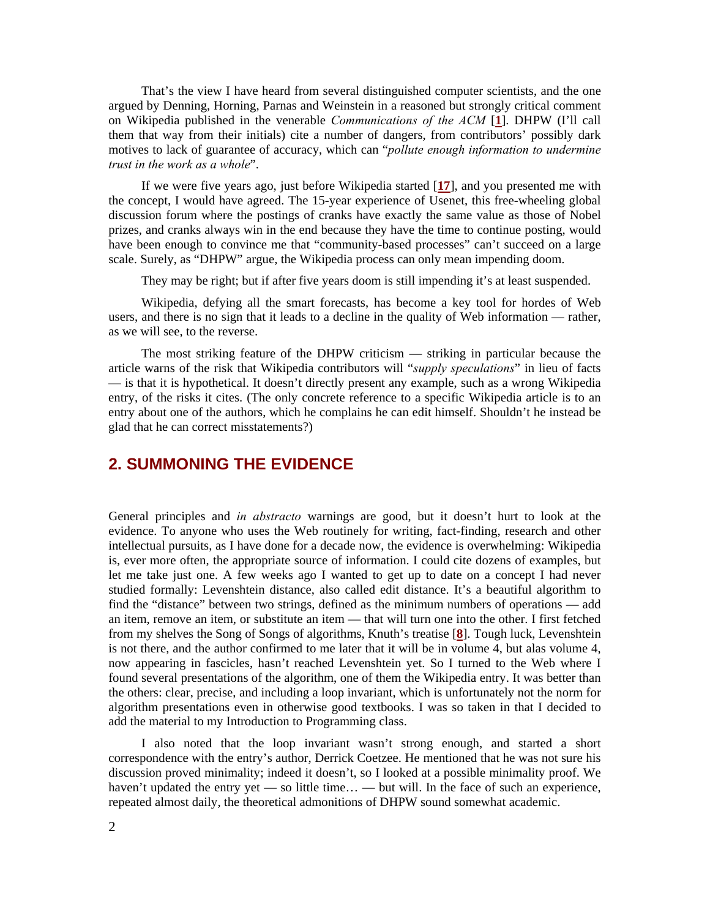That's the view I have heard from several distinguished computer scientists, and the one argued by Denning, Horning, Parnas and Weinstein in a reasoned but strongly critical comment on Wikipedia published in the venerable *Communications of the ACM* [**[1](#page-9-1)**]. DHPW (I'll call them that way from their initials) cite a number of dangers, from contributors' possibly dark motives to lack of guarantee of accuracy, which can "*pollute enough information to undermine trust in the work as a whole*".

If we were five years ago, just before Wikipedia started [**[17](#page-9-0)**], and you presented me with the concept, I would have agreed. The 15-year experience of Usenet, this free-wheeling global discussion forum where the postings of cranks have exactly the same value as those of Nobel prizes, and cranks always win in the end because they have the time to continue posting, would have been enough to convince me that "community-based processes" can't succeed on a large scale. Surely, as "DHPW" argue, the Wikipedia process can only mean impending doom.

They may be right; but if after five years doom is still impending it's at least suspended.

Wikipedia, defying all the smart forecasts, has become a key tool for hordes of Web users, and there is no sign that it leads to a decline in the quality of Web information — rather, as we will see, to the reverse.

The most striking feature of the DHPW criticism — striking in particular because the article warns of the risk that Wikipedia contributors will "*supply speculations*" in lieu of facts — is that it is hypothetical. It doesn't directly present any example, such as a wrong Wikipedia entry, of the risks it cites. (The only concrete reference to a specific Wikipedia article is to an entry about one of the authors, which he complains he can edit himself. Shouldn't he instead be glad that he can correct misstatements?)

# **2. SUMMONING THE EVIDENCE**

General principles and *in abstracto* warnings are good, but it doesn't hurt to look at the evidence. To anyone who uses the Web routinely for writing, fact-finding, research and other intellectual pursuits, as I have done for a decade now, the evidence is overwhelming: Wikipedia is, ever more often, the appropriate source of information. I could cite dozens of examples, but let me take just one. A few weeks ago I wanted to get up to date on a concept I had never studied formally: Levenshtein distance, also called edit distance. It's a beautiful algorithm to find the "distance" between two strings, defined as the minimum numbers of operations — add an item, remove an item, or substitute an item — that will turn one into the other. I first fetched from my shelves the Song of Songs of algorithms, Knuth's treatise [**[8](#page-9-2)**]. Tough luck, Levenshtein is not there, and the author confirmed to me later that it will be in volume 4, but alas volume 4, now appearing in fascicles, hasn't reached Levenshtein yet. So I turned to the Web where I found several presentations of the algorithm, one of them the Wikipedia entry. It was better than the others: clear, precise, and including a loop invariant, which is unfortunately not the norm for algorithm presentations even in otherwise good textbooks. I was so taken in that I decided to add the material to my Introduction to Programming class.

I also noted that the loop invariant wasn't strong enough, and started a short correspondence with the entry's author, Derrick Coetzee. He mentioned that he was not sure his discussion proved minimality; indeed it doesn't, so I looked at a possible minimality proof. We haven't updated the entry yet — so little time... — but will. In the face of such an experience, repeated almost daily, the theoretical admonitions of DHPW sound somewhat academic.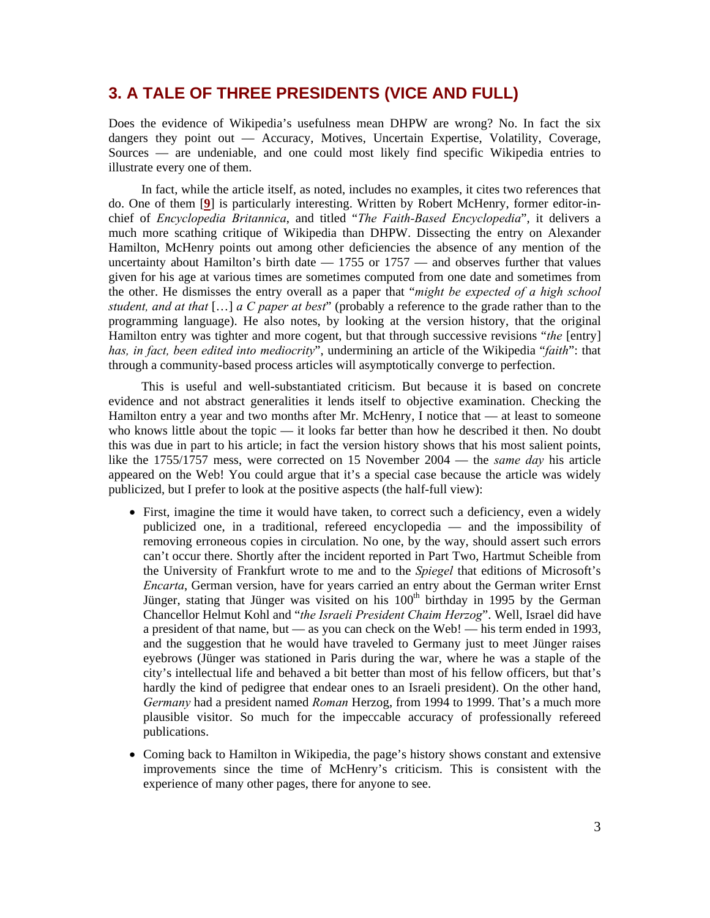### **3. A TALE OF THREE PRESIDENTS (VICE AND FULL)**

Does the evidence of Wikipedia's usefulness mean DHPW are wrong? No. In fact the six dangers they point out — Accuracy, Motives, Uncertain Expertise, Volatility, Coverage, Sources — are undeniable, and one could most likely find specific Wikipedia entries to illustrate every one of them.

In fact, while the article itself, as noted, includes no examples, it cites two references that do. One of them [**[9](#page-9-3)**] is particularly interesting. Written by Robert McHenry, former editor-inchief of *Encyclopedia Britannica*, and titled "*The Faith-Based Encyclopedia*", it delivers a much more scathing critique of Wikipedia than DHPW. Dissecting the entry on Alexander Hamilton, McHenry points out among other deficiencies the absence of any mention of the uncertainty about Hamilton's birth date  $-1755$  or  $1757 -$  and observes further that values given for his age at various times are sometimes computed from one date and sometimes from the other. He dismisses the entry overall as a paper that "*might be expected of a high school student, and at that* […] *a C paper at best*" (probably a reference to the grade rather than to the programming language). He also notes, by looking at the version history, that the original Hamilton entry was tighter and more cogent, but that through successive revisions "*the* [entry] *has, in fact, been edited into mediocrity*", undermining an article of the Wikipedia "*faith*": that through a community-based process articles will asymptotically converge to perfection.

This is useful and well-substantiated criticism. But because it is based on concrete evidence and not abstract generalities it lends itself to objective examination. Checking the Hamilton entry a year and two months after Mr. McHenry, I notice that — at least to someone who knows little about the topic  $\frac{d}{dx}$  it looks far better than how he described it then. No doubt this was due in part to his article; in fact the version history shows that his most salient points, like the 1755/1757 mess, were corrected on 15 November 2004 — the *same day* his article appeared on the Web! You could argue that it's a special case because the article was widely publicized, but I prefer to look at the positive aspects (the half-full view):

- First, imagine the time it would have taken, to correct such a deficiency, even a widely publicized one, in a traditional, refereed encyclopedia — and the impossibility of removing erroneous copies in circulation. No one, by the way, should assert such errors can't occur there. Shortly after the incident reported in Part Two, Hartmut Scheible from the University of Frankfurt wrote to me and to the *Spiegel* that editions of Microsoft's *Encarta*, German version, have for years carried an entry about the German writer Ernst Jünger, stating that Jünger was visited on his 100<sup>th</sup> birthday in 1995 by the German Chancellor Helmut Kohl and "*the Israeli President Chaim Herzog*". Well, Israel did have a president of that name, but — as you can check on the Web! — his term ended in 1993, and the suggestion that he would have traveled to Germany just to meet Jünger raises eyebrows (Jünger was stationed in Paris during the war, where he was a staple of the city's intellectual life and behaved a bit better than most of his fellow officers, but that's hardly the kind of pedigree that endear ones to an Israeli president). On the other hand, *Germany* had a president named *Roman* Herzog, from 1994 to 1999. That's a much more plausible visitor. So much for the impeccable accuracy of professionally refereed publications.
- Coming back to Hamilton in Wikipedia, the page's history shows constant and extensive improvements since the time of McHenry's criticism. This is consistent with the experience of many other pages, there for anyone to see.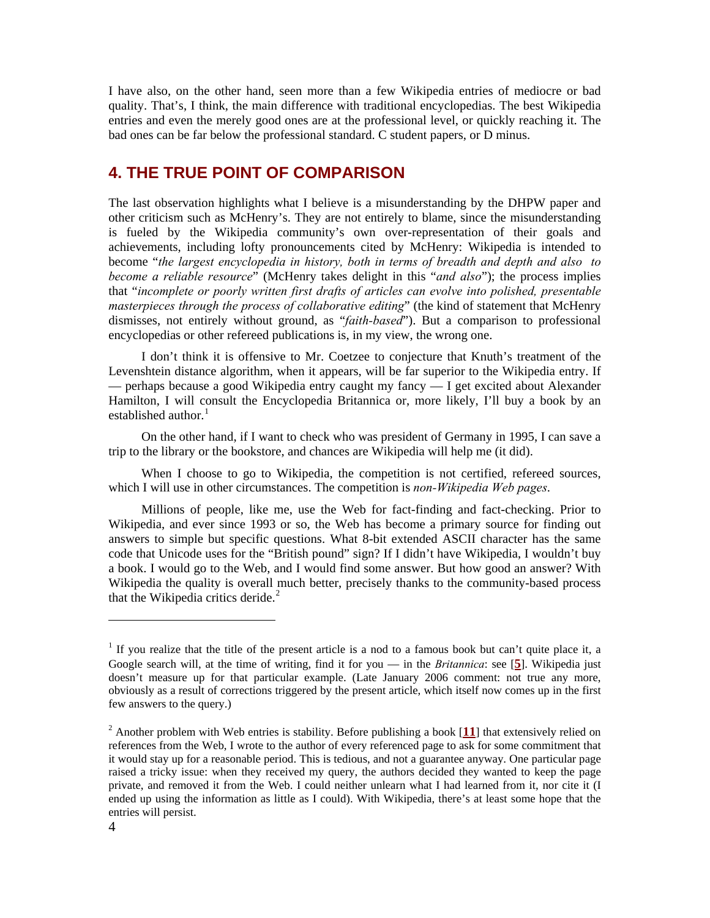I have also, on the other hand, seen more than a few Wikipedia entries of mediocre or bad quality. That's, I think, the main difference with traditional encyclopedias. The best Wikipedia entries and even the merely good ones are at the professional level, or quickly reaching it. The bad ones can be far below the professional standard. C student papers, or D minus.

# **4. THE TRUE POINT OF COMPARISON**

The last observation highlights what I believe is a misunderstanding by the DHPW paper and other criticism such as McHenry's. They are not entirely to blame, since the misunderstanding is fueled by the Wikipedia community's own over-representation of their goals and achievements, including lofty pronouncements cited by McHenry: Wikipedia is intended to become "*the largest encyclopedia in history, both in terms of breadth and depth and also to become a reliable resource*" (McHenry takes delight in this "*and also*"); the process implies that "*incomplete or poorly written first drafts of articles can evolve into polished, presentable masterpieces through the process of collaborative editing*" (the kind of statement that McHenry dismisses, not entirely without ground, as "*faith-based*"). But a comparison to professional encyclopedias or other refereed publications is, in my view, the wrong one.

I don't think it is offensive to Mr. Coetzee to conjecture that Knuth's treatment of the Levenshtein distance algorithm, when it appears, will be far superior to the Wikipedia entry. If — perhaps because a good Wikipedia entry caught my fancy — I get excited about Alexander Hamilton, I will consult the Encyclopedia Britannica or, more likely, I'll buy a book by an established author.<sup>[1](#page-3-0)</sup>

On the other hand, if I want to check who was president of Germany in 1995, I can save a trip to the library or the bookstore, and chances are Wikipedia will help me (it did).

When I choose to go to Wikipedia, the competition is not certified, refereed sources, which I will use in other circumstances. The competition is *non-Wikipedia Web pages*.

Millions of people, like me, use the Web for fact-finding and fact-checking. Prior to Wikipedia, and ever since 1993 or so, the Web has become a primary source for finding out answers to simple but specific questions. What 8-bit extended ASCII character has the same code that Unicode uses for the "British pound" sign? If I didn't have Wikipedia, I wouldn't buy a book. I would go to the Web, and I would find some answer. But how good an answer? With Wikipedia the quality is overall much better, precisely thanks to the community-based process that the Wikipedia critics deride. $2$ 

 $\overline{a}$ 

<span id="page-3-0"></span><sup>&</sup>lt;sup>1</sup> If you realize that the title of the present article is a nod to a famous book but can't quite place it, a Google search will, at the time of writing, find it for you — in the *Britannica*: see [**5**]. Wikipedia just doesn't measure up for that particular example. (Late January 2006 comment: not true any more, obviously as a result of corrections triggered by the present article, which itself now comes up in the first few answers to the query.)

<span id="page-3-1"></span><sup>&</sup>lt;sup>2</sup> Another problem with Web entries is stability. Before publishing a book [11] that extensively relied on references from the Web, I wrote to the author of every referenced page to ask for some commitment that it would stay up for a reasonable period. This is tedious, and not a guarantee anyway. One particular page raised a tricky issue: when they received my query, the authors decided they wanted to keep the page private, and removed it from the Web. I could neither unlearn what I had learned from it, nor cite it (I ended up using the information as little as I could). With Wikipedia, there's at least some hope that the entries will persist.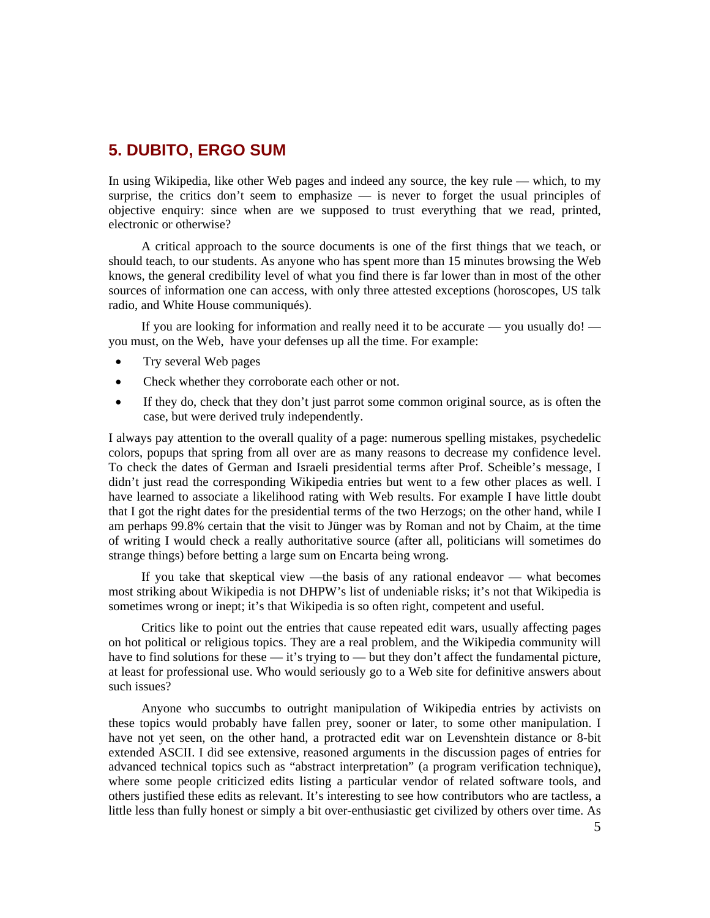## **5. DUBITO, ERGO SUM**

In using Wikipedia, like other Web pages and indeed any source, the key rule — which, to my surprise, the critics don't seem to emphasize — is never to forget the usual principles of objective enquiry: since when are we supposed to trust everything that we read, printed, electronic or otherwise?

A critical approach to the source documents is one of the first things that we teach, or should teach, to our students. As anyone who has spent more than 15 minutes browsing the Web knows, the general credibility level of what you find there is far lower than in most of the other sources of information one can access, with only three attested exceptions (horoscopes, US talk radio, and White House communiqués).

If you are looking for information and really need it to be accurate — you usually  $\text{do}!$  you must, on the Web, have your defenses up all the time. For example:

- Try several Web pages
- Check whether they corroborate each other or not.
- If they do, check that they don't just parrot some common original source, as is often the case, but were derived truly independently.

I always pay attention to the overall quality of a page: numerous spelling mistakes, psychedelic colors, popups that spring from all over are as many reasons to decrease my confidence level. To check the dates of German and Israeli presidential terms after Prof. Scheible's message, I didn't just read the corresponding Wikipedia entries but went to a few other places as well. I have learned to associate a likelihood rating with Web results. For example I have little doubt that I got the right dates for the presidential terms of the two Herzogs; on the other hand, while I am perhaps 99.8% certain that the visit to Jünger was by Roman and not by Chaim, at the time of writing I would check a really authoritative source (after all, politicians will sometimes do strange things) before betting a large sum on Encarta being wrong.

If you take that skeptical view —the basis of any rational endeavor — what becomes most striking about Wikipedia is not DHPW's list of undeniable risks; it's not that Wikipedia is sometimes wrong or inept; it's that Wikipedia is so often right, competent and useful.

Critics like to point out the entries that cause repeated edit wars, usually affecting pages on hot political or religious topics. They are a real problem, and the Wikipedia community will have to find solutions for these — it's trying to — but they don't affect the fundamental picture, at least for professional use. Who would seriously go to a Web site for definitive answers about such issues?

Anyone who succumbs to outright manipulation of Wikipedia entries by activists on these topics would probably have fallen prey, sooner or later, to some other manipulation. I have not yet seen, on the other hand, a protracted edit war on Levenshtein distance or 8-bit extended ASCII. I did see extensive, reasoned arguments in the discussion pages of entries for advanced technical topics such as "abstract interpretation" (a program verification technique), where some people criticized edits listing a particular vendor of related software tools, and others justified these edits as relevant. It's interesting to see how contributors who are tactless, a little less than fully honest or simply a bit over-enthusiastic get civilized by others over time. As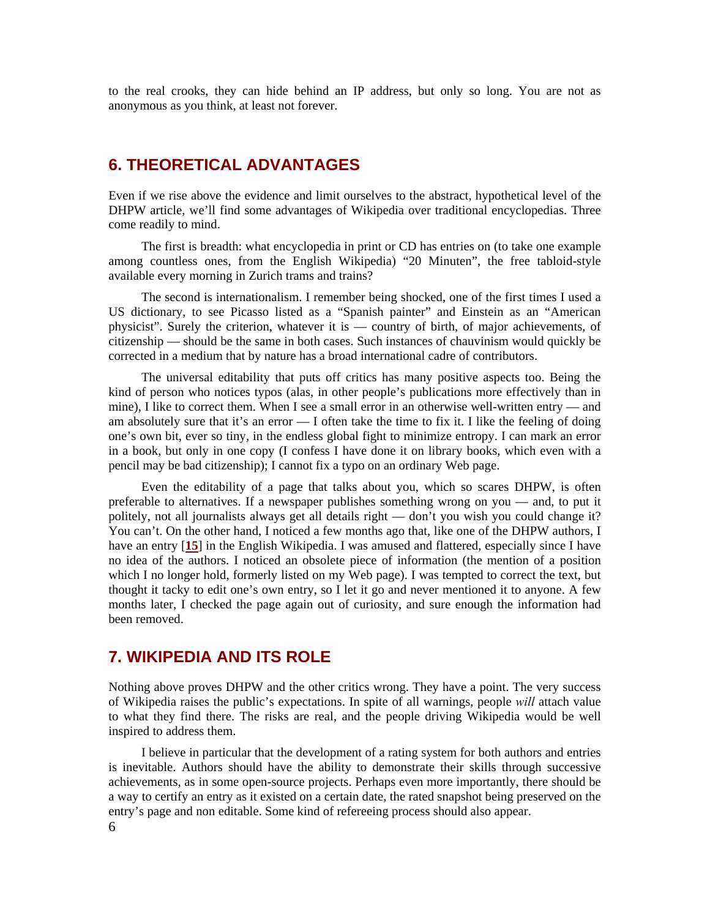to the real crooks, they can hide behind an IP address, but only so long. You are not as anonymous as you think, at least not forever.

#### **6. THEORETICAL ADVANTAGES**

Even if we rise above the evidence and limit ourselves to the abstract, hypothetical level of the DHPW article, we'll find some advantages of Wikipedia over traditional encyclopedias. Three come readily to mind.

The first is breadth: what encyclopedia in print or CD has entries on (to take one example among countless ones, from the English Wikipedia) "20 Minuten", the free tabloid-style available every morning in Zurich trams and trains?

The second is internationalism. I remember being shocked, one of the first times I used a US dictionary, to see Picasso listed as a "Spanish painter" and Einstein as an "American physicist". Surely the criterion, whatever it is — country of birth, of major achievements, of citizenship — should be the same in both cases. Such instances of chauvinism would quickly be corrected in a medium that by nature has a broad international cadre of contributors.

The universal editability that puts off critics has many positive aspects too. Being the kind of person who notices typos (alas, in other people's publications more effectively than in mine), I like to correct them. When I see a small error in an otherwise well-written entry — and am absolutely sure that it's an error — I often take the time to fix it. I like the feeling of doing one's own bit, ever so tiny, in the endless global fight to minimize entropy. I can mark an error in a book, but only in one copy (I confess I have done it on library books, which even with a pencil may be bad citizenship); I cannot fix a typo on an ordinary Web page.

Even the editability of a page that talks about you, which so scares DHPW, is often preferable to alternatives. If a newspaper publishes something wrong on you — and, to put it politely, not all journalists always get all details right — don't you wish you could change it? You can't. On the other hand, I noticed a few months ago that, like one of the DHPW authors, I have an entry [**[15](#page-9-4)**] in the English Wikipedia. I was amused and flattered, especially since I have no idea of the authors. I noticed an obsolete piece of information (the mention of a position which I no longer hold, formerly listed on my Web page). I was tempted to correct the text, but thought it tacky to edit one's own entry, so I let it go and never mentioned it to anyone. A few months later, I checked the page again out of curiosity, and sure enough the information had been removed.

### **7. WIKIPEDIA AND ITS ROLE**

Nothing above proves DHPW and the other critics wrong. They have a point. The very success of Wikipedia raises the public's expectations. In spite of all warnings, people *will* attach value to what they find there. The risks are real, and the people driving Wikipedia would be well inspired to address them.

I believe in particular that the development of a rating system for both authors and entries is inevitable. Authors should have the ability to demonstrate their skills through successive achievements, as in some open-source projects. Perhaps even more importantly, there should be a way to certify an entry as it existed on a certain date, the rated snapshot being preserved on the entry's page and non editable. Some kind of refereeing process should also appear.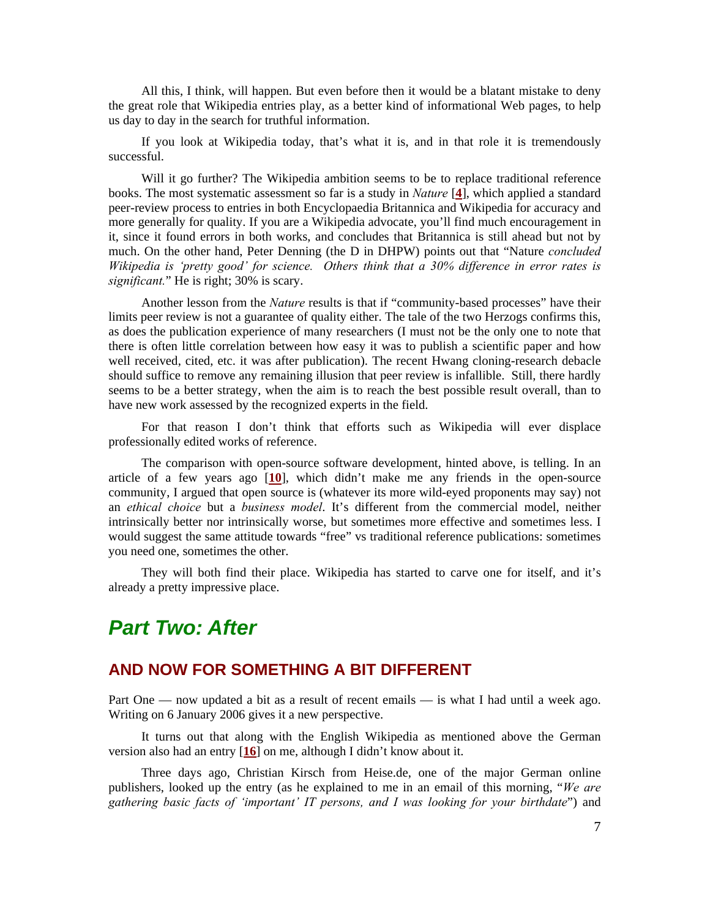All this, I think, will happen. But even before then it would be a blatant mistake to deny the great role that Wikipedia entries play, as a better kind of informational Web pages, to help us day to day in the search for truthful information.

If you look at Wikipedia today, that's what it is, and in that role it is tremendously successful.

Will it go further? The Wikipedia ambition seems to be to replace traditional reference books. The most systematic assessment so far is a study in *Nature* [**[4](#page-9-5)**], which applied a standard peer-review process to entries in both Encyclopaedia Britannica and Wikipedia for accuracy and more generally for quality. If you are a Wikipedia advocate, you'll find much encouragement in it, since it found errors in both works, and concludes that Britannica is still ahead but not by much. On the other hand, Peter Denning (the D in DHPW) points out that "Nature *concluded Wikipedia is 'pretty good' for science. Others think that a 30% difference in error rates is significant.*" He is right; 30% is scary.

Another lesson from the *Nature* results is that if "community-based processes" have their limits peer review is not a guarantee of quality either. The tale of the two Herzogs confirms this, as does the publication experience of many researchers (I must not be the only one to note that there is often little correlation between how easy it was to publish a scientific paper and how well received, cited, etc. it was after publication). The recent Hwang cloning-research debacle should suffice to remove any remaining illusion that peer review is infallible. Still, there hardly seems to be a better strategy, when the aim is to reach the best possible result overall, than to have new work assessed by the recognized experts in the field.

For that reason I don't think that efforts such as Wikipedia will ever displace professionally edited works of reference.

The comparison with open-source software development, hinted above, is telling. In an article of a few years ago [**[10](#page-9-6)**], which didn't make me any friends in the open-source community, I argued that open source is (whatever its more wild-eyed proponents may say) not an *ethical choice* but a *business model*. It's different from the commercial model, neither intrinsically better nor intrinsically worse, but sometimes more effective and sometimes less. I would suggest the same attitude towards "free" vs traditional reference publications: sometimes you need one, sometimes the other.

They will both find their place. Wikipedia has started to carve one for itself, and it's already a pretty impressive place.

# *Part Two: After*

#### **AND NOW FOR SOMETHING A BIT DIFFERENT**

Part One — now updated a bit as a result of recent emails — is what I had until a week ago. Writing on 6 January 2006 gives it a new perspective.

It turns out that along with the English Wikipedia as mentioned above the German version also had an entry [**[16](#page-9-7)**] on me, although I didn't know about it.

Three days ago, Christian Kirsch from Heise.de, one of the major German online publishers, looked up the entry (as he explained to me in an email of this morning, "*We are gathering basic facts of 'important' IT persons, and I was looking for your birthdate*") and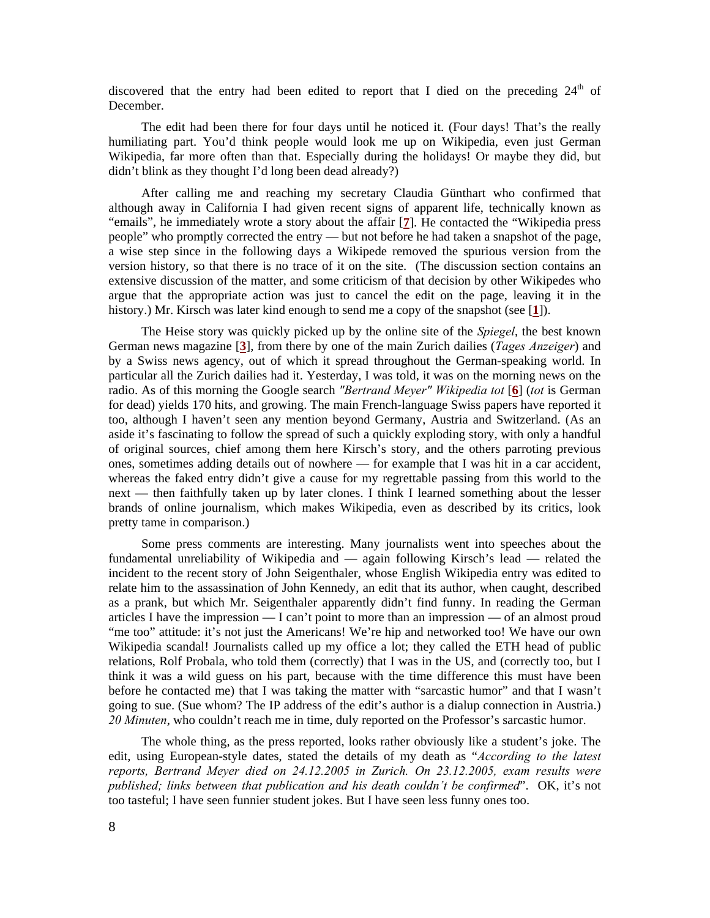discovered that the entry had been edited to report that I died on the preceding  $24<sup>th</sup>$  of December.

The edit had been there for four days until he noticed it. (Four days! That's the really humiliating part. You'd think people would look me up on Wikipedia, even just German Wikipedia, far more often than that. Especially during the holidays! Or maybe they did, but didn't blink as they thought I'd long been dead already?)

After calling me and reaching my secretary Claudia Günthart who confirmed that although away in California I had given recent signs of apparent life, technically known as "emails", he immediately wrote a story about the affair [**[7](#page-9-8)**]. He contacted the "Wikipedia press people" who promptly corrected the entry — but not before he had taken a snapshot of the page, a wise step since in the following days a Wikipede removed the spurious version from the version history, so that there is no trace of it on the site. (The discussion section contains an extensive discussion of the matter, and some criticism of that decision by other Wikipedes who argue that the appropriate action was just to cancel the edit on the page, leaving it in the history.) Mr. Kirsch was later kind enough to send me a copy of the snapshot (see [**[1](#page-9-1)**]).

The Heise story was quickly picked up by the online site of the *Spiegel*, the best known German news magazine [**[3](#page-9-9)**], from there by one of the main Zurich dailies (*Tages Anzeiger*) and by a Swiss news agency, out of which it spread throughout the German-speaking world. In particular all the Zurich dailies had it. Yesterday, I was told, it was on the morning news on the radio. As of this morning the Google search *″Bertrand Meyer″ Wikipedia tot* [**[6](#page-9-10)**] (*tot* is German for dead) yields 170 hits, and growing. The main French-language Swiss papers have reported it too, although I haven't seen any mention beyond Germany, Austria and Switzerland. (As an aside it's fascinating to follow the spread of such a quickly exploding story, with only a handful of original sources, chief among them here Kirsch's story, and the others parroting previous ones, sometimes adding details out of nowhere — for example that I was hit in a car accident, whereas the faked entry didn't give a cause for my regrettable passing from this world to the next — then faithfully taken up by later clones. I think I learned something about the lesser brands of online journalism, which makes Wikipedia, even as described by its critics, look pretty tame in comparison.)

Some press comments are interesting. Many journalists went into speeches about the fundamental unreliability of Wikipedia and — again following Kirsch's lead — related the incident to the recent story of John Seigenthaler, whose English Wikipedia entry was edited to relate him to the assassination of John Kennedy, an edit that its author, when caught, described as a prank, but which Mr. Seigenthaler apparently didn't find funny. In reading the German articles I have the impression — I can't point to more than an impression — of an almost proud "me too" attitude: it's not just the Americans! We're hip and networked too! We have our own Wikipedia scandal! Journalists called up my office a lot; they called the ETH head of public relations, Rolf Probala, who told them (correctly) that I was in the US, and (correctly too, but I think it was a wild guess on his part, because with the time difference this must have been before he contacted me) that I was taking the matter with "sarcastic humor" and that I wasn't going to sue. (Sue whom? The IP address of the edit's author is a dialup connection in Austria.) *20 Minuten*, who couldn't reach me in time, duly reported on the Professor's sarcastic humor.

The whole thing, as the press reported, looks rather obviously like a student's joke. The edit, using European-style dates, stated the details of my death as "*According to the latest reports, Bertrand Meyer died on 24.12.2005 in Zurich. On 23.12.2005, exam results were published; links between that publication and his death couldn't be confirmed*". OK, it's not too tasteful; I have seen funnier student jokes. But I have seen less funny ones too.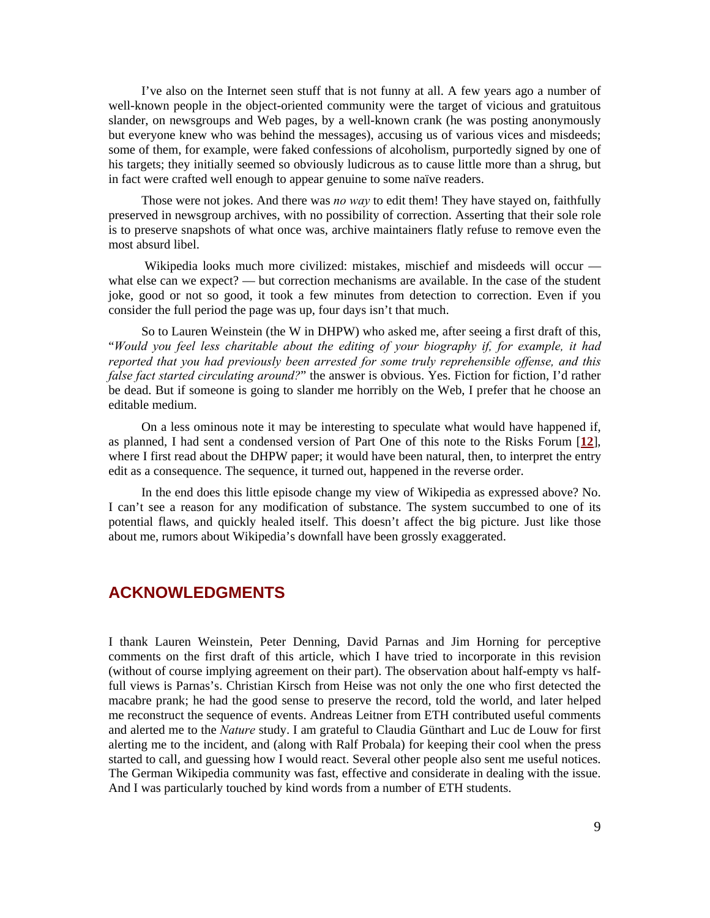I've also on the Internet seen stuff that is not funny at all. A few years ago a number of well-known people in the object-oriented community were the target of vicious and gratuitous slander, on newsgroups and Web pages, by a well-known crank (he was posting anonymously but everyone knew who was behind the messages), accusing us of various vices and misdeeds; some of them, for example, were faked confessions of alcoholism, purportedly signed by one of his targets; they initially seemed so obviously ludicrous as to cause little more than a shrug, but in fact were crafted well enough to appear genuine to some naïve readers.

Those were not jokes. And there was *no way* to edit them! They have stayed on, faithfully preserved in newsgroup archives, with no possibility of correction. Asserting that their sole role is to preserve snapshots of what once was, archive maintainers flatly refuse to remove even the most absurd libel.

 Wikipedia looks much more civilized: mistakes, mischief and misdeeds will occur what else can we expect? — but correction mechanisms are available. In the case of the student joke, good or not so good, it took a few minutes from detection to correction. Even if you consider the full period the page was up, four days isn't that much.

So to Lauren Weinstein (the W in DHPW) who asked me, after seeing a first draft of this, "*Would you feel less charitable about the editing of your biography if, for example, it had reported that you had previously been arrested for some truly reprehensible offense, and this false fact started circulating around?*" the answer is obvious. Yes. Fiction for fiction, I'd rather be dead. But if someone is going to slander me horribly on the Web, I prefer that he choose an editable medium.

On a less ominous note it may be interesting to speculate what would have happened if, as planned, I had sent a condensed version of Part One of this note to the Risks Forum [**[12](#page-9-11)**], where I first read about the DHPW paper; it would have been natural, then, to interpret the entry edit as a consequence. The sequence, it turned out, happened in the reverse order.

In the end does this little episode change my view of Wikipedia as expressed above? No. I can't see a reason for any modification of substance. The system succumbed to one of its potential flaws, and quickly healed itself. This doesn't affect the big picture. Just like those about me, rumors about Wikipedia's downfall have been grossly exaggerated.

### **ACKNOWLEDGMENTS**

I thank Lauren Weinstein, Peter Denning, David Parnas and Jim Horning for perceptive comments on the first draft of this article, which I have tried to incorporate in this revision (without of course implying agreement on their part). The observation about half-empty vs halffull views is Parnas's. Christian Kirsch from Heise was not only the one who first detected the macabre prank; he had the good sense to preserve the record, told the world, and later helped me reconstruct the sequence of events. Andreas Leitner from ETH contributed useful comments and alerted me to the *Nature* study. I am grateful to Claudia Günthart and Luc de Louw for first alerting me to the incident, and (along with Ralf Probala) for keeping their cool when the press started to call, and guessing how I would react. Several other people also sent me useful notices. The German Wikipedia community was fast, effective and considerate in dealing with the issue. And I was particularly touched by kind words from a number of ETH students.